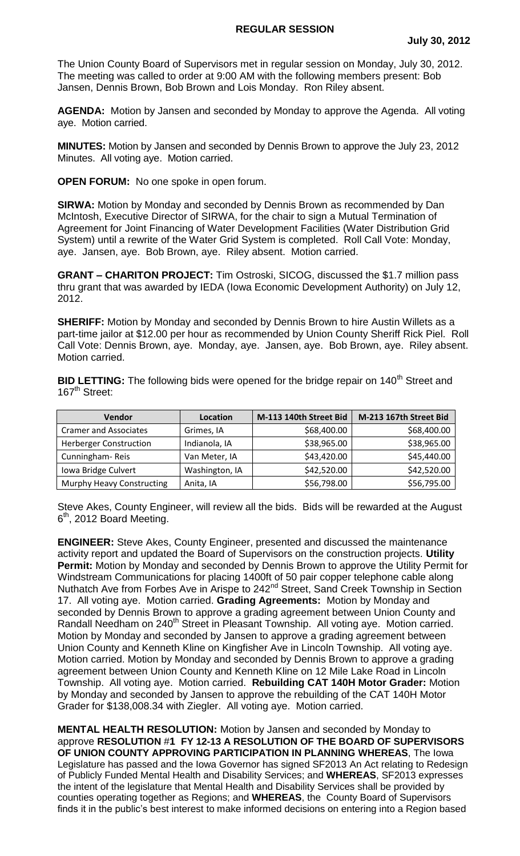## **REGULAR SESSION**

The Union County Board of Supervisors met in regular session on Monday, July 30, 2012. The meeting was called to order at 9:00 AM with the following members present: Bob Jansen, Dennis Brown, Bob Brown and Lois Monday. Ron Riley absent.

**AGENDA:** Motion by Jansen and seconded by Monday to approve the Agenda. All voting aye. Motion carried.

**MINUTES:** Motion by Jansen and seconded by Dennis Brown to approve the July 23, 2012 Minutes. All voting aye. Motion carried.

**OPEN FORUM:** No one spoke in open forum.

**SIRWA:** Motion by Monday and seconded by Dennis Brown as recommended by Dan McIntosh, Executive Director of SIRWA, for the chair to sign a Mutual Termination of Agreement for Joint Financing of Water Development Facilities (Water Distribution Grid System) until a rewrite of the Water Grid System is completed. Roll Call Vote: Monday, aye. Jansen, aye. Bob Brown, aye. Riley absent. Motion carried.

**GRANT – CHARITON PROJECT:** Tim Ostroski, SICOG, discussed the \$1.7 million pass thru grant that was awarded by IEDA (Iowa Economic Development Authority) on July 12, 2012.

**SHERIFF:** Motion by Monday and seconded by Dennis Brown to hire Austin Willets as a part-time jailor at \$12.00 per hour as recommended by Union County Sheriff Rick Piel. Roll Call Vote: Dennis Brown, aye. Monday, aye. Jansen, aye. Bob Brown, aye. Riley absent. Motion carried.

**BID LETTING:** The following bids were opened for the bridge repair on 140<sup>th</sup> Street and 167<sup>th</sup> Street:

| Vendor                        | Location       | M-113 140th Street Bid | M-213 167th Street Bid |
|-------------------------------|----------------|------------------------|------------------------|
| <b>Cramer and Associates</b>  | Grimes, IA     | \$68,400.00            | \$68,400.00            |
| <b>Herberger Construction</b> | Indianola, IA  | \$38,965.00            | \$38,965.00            |
| Cunningham-Reis               | Van Meter, IA  | \$43,420.00            | \$45,440.00            |
| Iowa Bridge Culvert           | Washington, IA | \$42,520.00            | \$42,520.00            |
| Murphy Heavy Constructing     | Anita, IA      | \$56,798.00            | \$56,795.00            |

Steve Akes, County Engineer, will review all the bids. Bids will be rewarded at the August 6<sup>th</sup>, 2012 Board Meeting.

**ENGINEER:** Steve Akes, County Engineer, presented and discussed the maintenance activity report and updated the Board of Supervisors on the construction projects. **Utility Permit:** Motion by Monday and seconded by Dennis Brown to approve the Utility Permit for Windstream Communications for placing 1400ft of 50 pair copper telephone cable along Nuthatch Ave from Forbes Ave in Arispe to 242<sup>nd</sup> Street, Sand Creek Township in Section 17. All voting aye. Motion carried. **Grading Agreements:** Motion by Monday and seconded by Dennis Brown to approve a grading agreement between Union County and Randall Needham on 240<sup>th</sup> Street in Pleasant Township. All voting aye. Motion carried. Motion by Monday and seconded by Jansen to approve a grading agreement between Union County and Kenneth Kline on Kingfisher Ave in Lincoln Township. All voting aye. Motion carried. Motion by Monday and seconded by Dennis Brown to approve a grading agreement between Union County and Kenneth Kline on 12 Mile Lake Road in Lincoln Township. All voting aye. Motion carried. **Rebuilding CAT 140H Motor Grader:** Motion by Monday and seconded by Jansen to approve the rebuilding of the CAT 140H Motor Grader for \$138,008.34 with Ziegler. All voting aye. Motion carried.

**MENTAL HEALTH RESOLUTION:** Motion by Jansen and seconded by Monday to approve **RESOLUTION** #**1 FY 12-13 A RESOLUTION OF THE BOARD OF SUPERVISORS OF UNION COUNTY APPROVING PARTICIPATION IN PLANNING WHEREAS**, The Iowa Legislature has passed and the Iowa Governor has signed SF2013 An Act relating to Redesign of Publicly Funded Mental Health and Disability Services; and **WHEREAS**, SF2013 expresses the intent of the legislature that Mental Health and Disability Services shall be provided by counties operating together as Regions; and **WHEREAS**, the County Board of Supervisors finds it in the public's best interest to make informed decisions on entering into a Region based